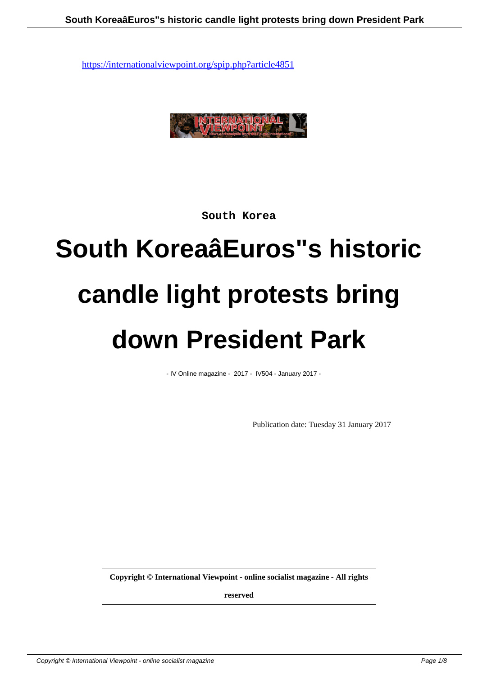

**South Korea**

# **South KoreaâEuros"s historic candle light protests bring down President Park**

- IV Online magazine - 2017 - IV504 - January 2017 -

Publication date: Tuesday 31 January 2017

**Copyright © International Viewpoint - online socialist magazine - All rights**

**reserved**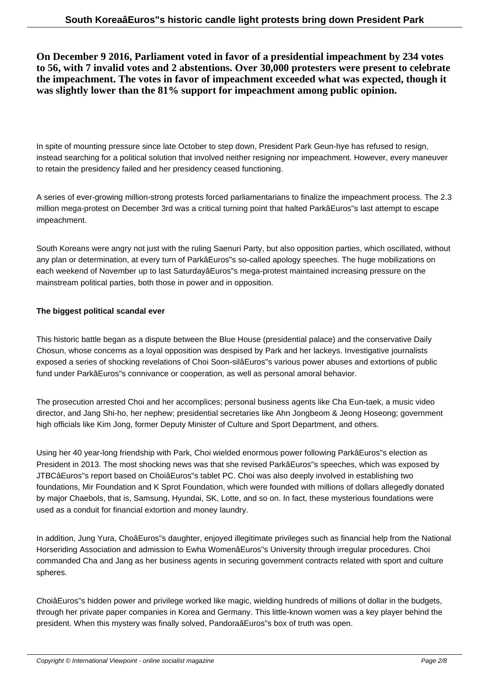**On December 9 2016, Parliament voted in favor of a presidential impeachment by 234 votes to 56, with 7 invalid votes and 2 abstentions. Over 30,000 protesters were present to celebrate the impeachment. The votes in favor of impeachment exceeded what was expected, though it was slightly lower than the 81% support for impeachment among public opinion.**

In spite of mounting pressure since late October to step down, President Park Geun-hye has refused to resign, instead searching for a political solution that involved neither resigning nor impeachment. However, every maneuver to retain the presidency failed and her presidency ceased functioning.

A series of ever-growing million-strong protests forced parliamentarians to finalize the impeachment process. The 2.3 million mega-protest on December 3rd was a critical turning point that halted ParkâEuros"s last attempt to escape impeachment.

South Koreans were angry not just with the ruling Saenuri Party, but also opposition parties, which oscillated, without any plan or determination, at every turn of ParkâEuros"s so-called apology speeches. The huge mobilizations on each weekend of November up to last SaturdayâEuros"s mega-protest maintained increasing pressure on the mainstream political parties, both those in power and in opposition.

#### **The biggest political scandal ever**

This historic battle began as a dispute between the Blue House (presidential palace) and the conservative Daily Chosun, whose concerns as a loyal opposition was despised by Park and her lackeys. Investigative journalists exposed a series of shocking revelations of Choi Soon-silâEuros"s various power abuses and extortions of public fund under ParkâEuros"s connivance or cooperation, as well as personal amoral behavior.

The prosecution arrested Choi and her accomplices; personal business agents like Cha Eun-taek, a music video director, and Jang Shi-ho, her nephew; presidential secretaries like Ahn Jongbeom & Jeong Hoseong; government high officials like Kim Jong, former Deputy Minister of Culture and Sport Department, and others.

Using her 40 year-long friendship with Park, Choi wielded enormous power following ParkâEuros"s election as President in 2013. The most shocking news was that she revised ParkâEuros"s speeches, which was exposed by JTBCâEuros"s report based on ChoiâEuros"s tablet PC. Choi was also deeply involved in establishing two foundations, Mir Foundation and K Sprot Foundation, which were founded with millions of dollars allegedly donated by major Chaebols, that is, Samsung, Hyundai, SK, Lotte, and so on. In fact, these mysterious foundations were used as a conduit for financial extortion and money laundry.

In addition, Jung Yura, ChoâEuros"s daughter, enjoyed illegitimate privileges such as financial help from the National Horseriding Association and admission to Ewha WomenâEuros"s University through irregular procedures. Choi commanded Cha and Jang as her business agents in securing government contracts related with sport and culture spheres.

ChoiâEuros"s hidden power and privilege worked like magic, wielding hundreds of millions of dollar in the budgets, through her private paper companies in Korea and Germany. This little-known women was a key player behind the president. When this mystery was finally solved, PandoraâEuros"s box of truth was open.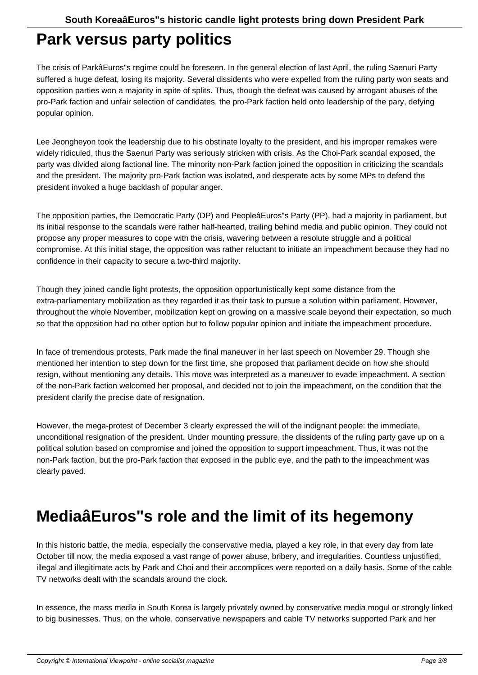#### **Park versus party politics**

The crisis of ParkâEuros"s regime could be foreseen. In the general election of last April, the ruling Saenuri Party suffered a huge defeat, losing its majority. Several dissidents who were expelled from the ruling party won seats and opposition parties won a majority in spite of splits. Thus, though the defeat was caused by arrogant abuses of the pro-Park faction and unfair selection of candidates, the pro-Park faction held onto leadership of the pary, defying popular opinion.

Lee Jeongheyon took the leadership due to his obstinate loyalty to the president, and his improper remakes were widely ridiculed, thus the Saenuri Party was seriously stricken with crisis. As the Choi-Park scandal exposed, the party was divided along factional line. The minority non-Park faction joined the opposition in criticizing the scandals and the president. The majority pro-Park faction was isolated, and desperate acts by some MPs to defend the president invoked a huge backlash of popular anger.

The opposition parties, the Democratic Party (DP) and PeopleâEuros"s Party (PP), had a majority in parliament, but its initial response to the scandals were rather half-hearted, trailing behind media and public opinion. They could not propose any proper measures to cope with the crisis, wavering between a resolute struggle and a political compromise. At this initial stage, the opposition was rather reluctant to initiate an impeachment because they had no confidence in their capacity to secure a two-third majority.

Though they joined candle light protests, the opposition opportunistically kept some distance from the extra-parliamentary mobilization as they regarded it as their task to pursue a solution within parliament. However, throughout the whole November, mobilization kept on growing on a massive scale beyond their expectation, so much so that the opposition had no other option but to follow popular opinion and initiate the impeachment procedure.

In face of tremendous protests, Park made the final maneuver in her last speech on November 29. Though she mentioned her intention to step down for the first time, she proposed that parliament decide on how she should resign, without mentioning any details. This move was interpreted as a maneuver to evade impeachment. A section of the non-Park faction welcomed her proposal, and decided not to join the impeachment, on the condition that the president clarify the precise date of resignation.

However, the mega-protest of December 3 clearly expressed the will of the indignant people: the immediate, unconditional resignation of the president. Under mounting pressure, the dissidents of the ruling party gave up on a political solution based on compromise and joined the opposition to support impeachment. Thus, it was not the non-Park faction, but the pro-Park faction that exposed in the public eye, and the path to the impeachment was clearly paved.

#### **MediaâEuros"s role and the limit of its hegemony**

In this historic battle, the media, especially the conservative media, played a key role, in that every day from late October till now, the media exposed a vast range of power abuse, bribery, and irregularities. Countless unjustified, illegal and illegitimate acts by Park and Choi and their accomplices were reported on a daily basis. Some of the cable TV networks dealt with the scandals around the clock.

In essence, the mass media in South Korea is largely privately owned by conservative media mogul or strongly linked to big businesses. Thus, on the whole, conservative newspapers and cable TV networks supported Park and her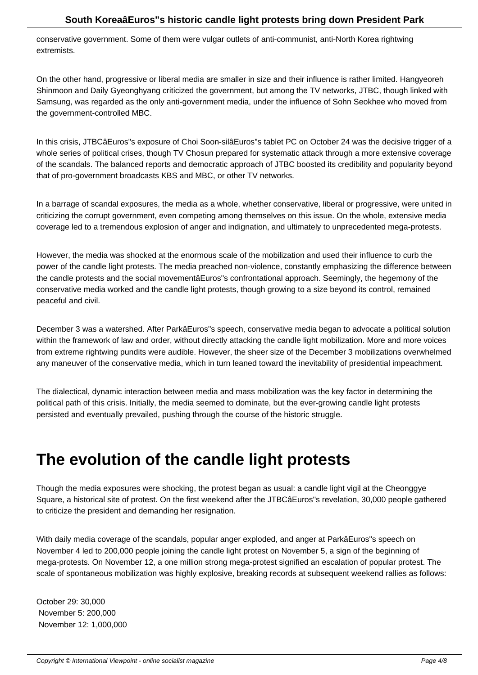conservative government. Some of them were vulgar outlets of anti-communist, anti-North Korea rightwing extremists.

On the other hand, progressive or liberal media are smaller in size and their influence is rather limited. Hangyeoreh Shinmoon and Daily Gyeonghyang criticized the government, but among the TV networks, JTBC, though linked with Samsung, was regarded as the only anti-government media, under the influence of Sohn Seokhee who moved from the government-controlled MBC.

In this crisis, JTBCâEuros"s exposure of Choi Soon-silâEuros"s tablet PC on October 24 was the decisive trigger of a whole series of political crises, though TV Chosun prepared for systematic attack through a more extensive coverage of the scandals. The balanced reports and democratic approach of JTBC boosted its credibility and popularity beyond that of pro-government broadcasts KBS and MBC, or other TV networks.

In a barrage of scandal exposures, the media as a whole, whether conservative, liberal or progressive, were united in criticizing the corrupt government, even competing among themselves on this issue. On the whole, extensive media coverage led to a tremendous explosion of anger and indignation, and ultimately to unprecedented mega-protests.

However, the media was shocked at the enormous scale of the mobilization and used their influence to curb the power of the candle light protests. The media preached non-violence, constantly emphasizing the difference between the candle protests and the social movementâEuros"s confrontational approach. Seemingly, the hegemony of the conservative media worked and the candle light protests, though growing to a size beyond its control, remained peaceful and civil.

December 3 was a watershed. After ParkâEuros"s speech, conservative media began to advocate a political solution within the framework of law and order, without directly attacking the candle light mobilization. More and more voices from extreme rightwing pundits were audible. However, the sheer size of the December 3 mobilizations overwhelmed any maneuver of the conservative media, which in turn leaned toward the inevitability of presidential impeachment.

The dialectical, dynamic interaction between media and mass mobilization was the key factor in determining the political path of this crisis. Initially, the media seemed to dominate, but the ever-growing candle light protests persisted and eventually prevailed, pushing through the course of the historic struggle.

### **The evolution of the candle light protests**

Though the media exposures were shocking, the protest began as usual: a candle light vigil at the Cheonggye Square, a historical site of protest. On the first weekend after the JTBCâEuros"s revelation, 30,000 people gathered to criticize the president and demanding her resignation.

With daily media coverage of the scandals, popular anger exploded, and anger at ParkâEuros"s speech on November 4 led to 200,000 people joining the candle light protest on November 5, a sign of the beginning of mega-protests. On November 12, a one million strong mega-protest signified an escalation of popular protest. The scale of spontaneous mobilization was highly explosive, breaking records at subsequent weekend rallies as follows:

October 29: 30,000 November 5: 200,000 November 12: 1,000,000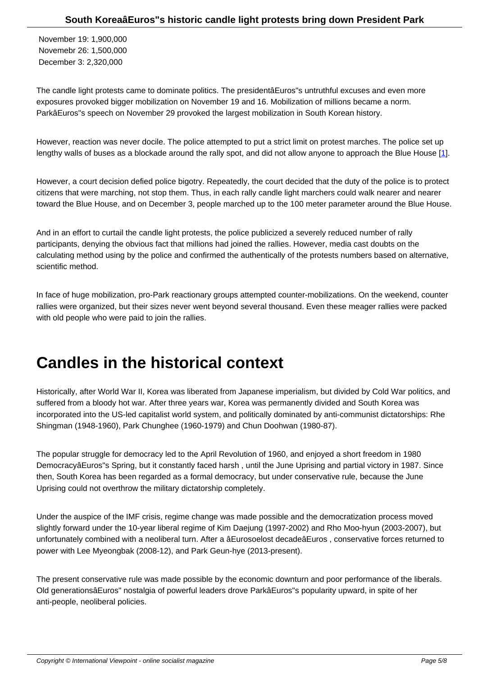November 19: 1,900,000 Novemebr 26: 1,500,000 December 3: 2,320,000

The candle light protests came to dominate politics. The presidentâEuros"s untruthful excuses and even more exposures provoked bigger mobilization on November 19 and 16. Mobilization of millions became a norm. ParkâEuros"s speech on November 29 provoked the largest mobilization in South Korean history.

However, reaction was never docile. The police attempted to put a strict limit on protest marches. The police set up lengthy walls of buses as a blockade around the rally spot, and did not allow anyone to approach the Blue House [1].

However, a court decision defied police bigotry. Repeatedly, the court decided that the duty of the police is to protect citizens that were marching, not stop them. Thus, in each rally candle light marchers could walk nearer and nearer toward the Blue House, and on December 3, people marched up to the 100 meter parameter around the Blue House.

And in an effort to curtail the candle light protests, the police publicized a severely reduced number of rally participants, denying the obvious fact that millions had joined the rallies. However, media cast doubts on the calculating method using by the police and confirmed the authentically of the protests numbers based on alternative, scientific method.

In face of huge mobilization, pro-Park reactionary groups attempted counter-mobilizations. On the weekend, counter rallies were organized, but their sizes never went beyond several thousand. Even these meager rallies were packed with old people who were paid to join the rallies.

### **Candles in the historical context**

Historically, after World War II, Korea was liberated from Japanese imperialism, but divided by Cold War politics, and suffered from a bloody hot war. After three years war, Korea was permanently divided and South Korea was incorporated into the US-led capitalist world system, and politically dominated by anti-communist dictatorships: Rhe Shingman (1948-1960), Park Chunghee (1960-1979) and Chun Doohwan (1980-87).

The popular struggle for democracy led to the April Revolution of 1960, and enjoyed a short freedom in 1980 DemocracyâEuros"s Spring, but it constantly faced harsh , until the June Uprising and partial victory in 1987. Since then, South Korea has been regarded as a formal democracy, but under conservative rule, because the June Uprising could not overthrow the military dictatorship completely.

Under the auspice of the IMF crisis, regime change was made possible and the democratization process moved slightly forward under the 10-year liberal regime of Kim Daejung (1997-2002) and Rho Moo-hyun (2003-2007), but unfortunately combined with a neoliberal turn. After a âEurosoelost decadeâEuros , conservative forces returned to power with Lee Myeongbak (2008-12), and Park Geun-hye (2013-present).

The present conservative rule was made possible by the economic downturn and poor performance of the liberals. Old generationsâEuros" nostalgia of powerful leaders drove ParkâEuros"s popularity upward, in spite of her anti-people, neoliberal policies.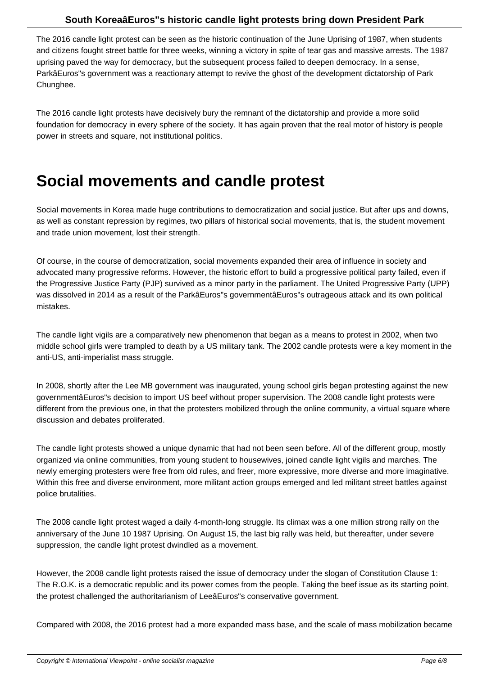The 2016 candle light protest can be seen as the historic continuation of the June Uprising of 1987, when students and citizens fought street battle for three weeks, winning a victory in spite of tear gas and massive arrests. The 1987 uprising paved the way for democracy, but the subsequent process failed to deepen democracy. In a sense, ParkâEuros"s government was a reactionary attempt to revive the ghost of the development dictatorship of Park Chunghee.

The 2016 candle light protests have decisively bury the remnant of the dictatorship and provide a more solid foundation for democracy in every sphere of the society. It has again proven that the real motor of history is people power in streets and square, not institutional politics.

### **Social movements and candle protest**

Social movements in Korea made huge contributions to democratization and social justice. But after ups and downs, as well as constant repression by regimes, two pillars of historical social movements, that is, the student movement and trade union movement, lost their strength.

Of course, in the course of democratization, social movements expanded their area of influence in society and advocated many progressive reforms. However, the historic effort to build a progressive political party failed, even if the Progressive Justice Party (PJP) survived as a minor party in the parliament. The United Progressive Party (UPP) was dissolved in 2014 as a result of the ParkâEuros"s governmentâEuros"s outrageous attack and its own political mistakes.

The candle light vigils are a comparatively new phenomenon that began as a means to protest in 2002, when two middle school girls were trampled to death by a US military tank. The 2002 candle protests were a key moment in the anti-US, anti-imperialist mass struggle.

In 2008, shortly after the Lee MB government was inaugurated, young school girls began protesting against the new governmentâEuros"s decision to import US beef without proper supervision. The 2008 candle light protests were different from the previous one, in that the protesters mobilized through the online community, a virtual square where discussion and debates proliferated.

The candle light protests showed a unique dynamic that had not been seen before. All of the different group, mostly organized via online communities, from young student to housewives, joined candle light vigils and marches. The newly emerging protesters were free from old rules, and freer, more expressive, more diverse and more imaginative. Within this free and diverse environment, more militant action groups emerged and led militant street battles against police brutalities.

The 2008 candle light protest waged a daily 4-month-long struggle. Its climax was a one million strong rally on the anniversary of the June 10 1987 Uprising. On August 15, the last big rally was held, but thereafter, under severe suppression, the candle light protest dwindled as a movement.

However, the 2008 candle light protests raised the issue of democracy under the slogan of Constitution Clause 1: The R.O.K. is a democratic republic and its power comes from the people. Taking the beef issue as its starting point, the protest challenged the authoritarianism of LeeâEuros"s conservative government.

Compared with 2008, the 2016 protest had a more expanded mass base, and the scale of mass mobilization became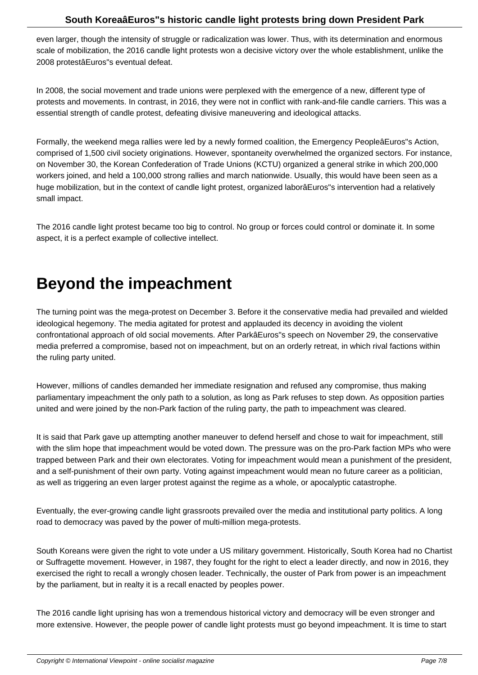even larger, though the intensity of struggle or radicalization was lower. Thus, with its determination and enormous scale of mobilization, the 2016 candle light protests won a decisive victory over the whole establishment, unlike the 2008 protestâEuros"s eventual defeat.

In 2008, the social movement and trade unions were perplexed with the emergence of a new, different type of protests and movements. In contrast, in 2016, they were not in conflict with rank-and-file candle carriers. This was a essential strength of candle protest, defeating divisive maneuvering and ideological attacks.

Formally, the weekend mega rallies were led by a newly formed coalition, the Emergency PeopleâEuros"s Action, comprised of 1,500 civil society originations. However, spontaneity overwhelmed the organized sectors. For instance, on November 30, the Korean Confederation of Trade Unions (KCTU) organized a general strike in which 200,000 workers joined, and held a 100,000 strong rallies and march nationwide. Usually, this would have been seen as a huge mobilization, but in the context of candle light protest, organized laborâEuros"s intervention had a relatively small impact.

The 2016 candle light protest became too big to control. No group or forces could control or dominate it. In some aspect, it is a perfect example of collective intellect.

## **Beyond the impeachment**

The turning point was the mega-protest on December 3. Before it the conservative media had prevailed and wielded ideological hegemony. The media agitated for protest and applauded its decency in avoiding the violent confrontational approach of old social movements. After ParkâEuros"s speech on November 29, the conservative media preferred a compromise, based not on impeachment, but on an orderly retreat, in which rival factions within the ruling party united.

However, millions of candles demanded her immediate resignation and refused any compromise, thus making parliamentary impeachment the only path to a solution, as long as Park refuses to step down. As opposition parties united and were joined by the non-Park faction of the ruling party, the path to impeachment was cleared.

It is said that Park gave up attempting another maneuver to defend herself and chose to wait for impeachment, still with the slim hope that impeachment would be voted down. The pressure was on the pro-Park faction MPs who were trapped between Park and their own electorates. Voting for impeachment would mean a punishment of the president, and a self-punishment of their own party. Voting against impeachment would mean no future career as a politician, as well as triggering an even larger protest against the regime as a whole, or apocalyptic catastrophe.

Eventually, the ever-growing candle light grassroots prevailed over the media and institutional party politics. A long road to democracy was paved by the power of multi-million mega-protests.

South Koreans were given the right to vote under a US military government. Historically, South Korea had no Chartist or Suffragette movement. However, in 1987, they fought for the right to elect a leader directly, and now in 2016, they exercised the right to recall a wrongly chosen leader. Technically, the ouster of Park from power is an impeachment by the parliament, but in realty it is a recall enacted by peoples power.

The 2016 candle light uprising has won a tremendous historical victory and democracy will be even stronger and more extensive. However, the people power of candle light protests must go beyond impeachment. It is time to start